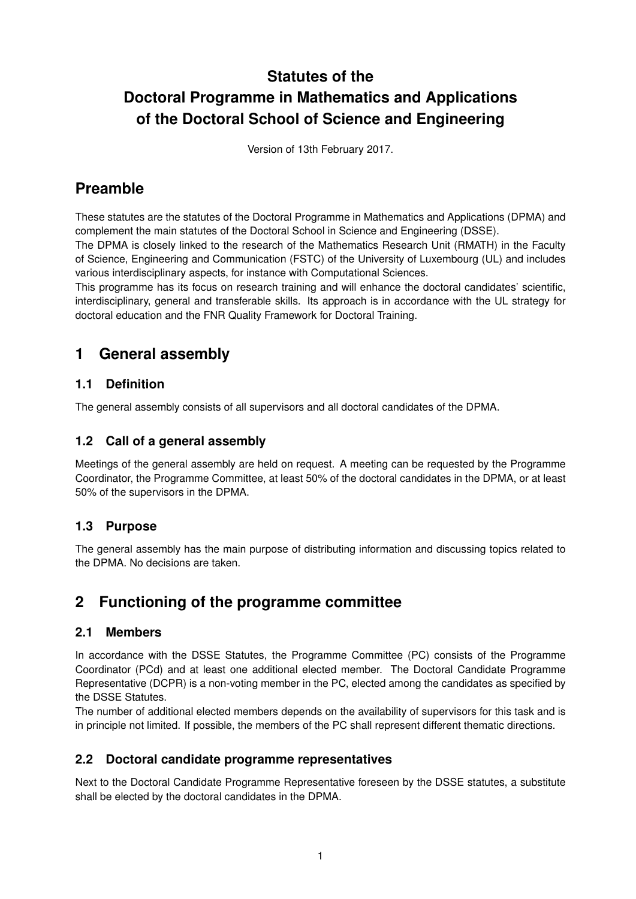# **Statutes of the Doctoral Programme in Mathematics and Applications of the Doctoral School of Science and Engineering**

Version of 13th February 2017.

## **Preamble**

These statutes are the statutes of the Doctoral Programme in Mathematics and Applications (DPMA) and complement the main statutes of the Doctoral School in Science and Engineering (DSSE).

The DPMA is closely linked to the research of the Mathematics Research Unit (RMATH) in the Faculty of Science, Engineering and Communication (FSTC) of the University of Luxembourg (UL) and includes various interdisciplinary aspects, for instance with Computational Sciences.

This programme has its focus on research training and will enhance the doctoral candidates' scientific, interdisciplinary, general and transferable skills. Its approach is in accordance with the UL strategy for doctoral education and the FNR Quality Framework for Doctoral Training.

### **1 General assembly**

#### **1.1 Definition**

The general assembly consists of all supervisors and all doctoral candidates of the DPMA.

#### **1.2 Call of a general assembly**

Meetings of the general assembly are held on request. A meeting can be requested by the Programme Coordinator, the Programme Committee, at least 50% of the doctoral candidates in the DPMA, or at least 50% of the supervisors in the DPMA.

#### **1.3 Purpose**

The general assembly has the main purpose of distributing information and discussing topics related to the DPMA. No decisions are taken.

### **2 Functioning of the programme committee**

#### **2.1 Members**

In accordance with the DSSE Statutes, the Programme Committee (PC) consists of the Programme Coordinator (PCd) and at least one additional elected member. The Doctoral Candidate Programme Representative (DCPR) is a non-voting member in the PC, elected among the candidates as specified by the DSSE Statutes.

The number of additional elected members depends on the availability of supervisors for this task and is in principle not limited. If possible, the members of the PC shall represent different thematic directions.

#### **2.2 Doctoral candidate programme representatives**

Next to the Doctoral Candidate Programme Representative foreseen by the DSSE statutes, a substitute shall be elected by the doctoral candidates in the DPMA.